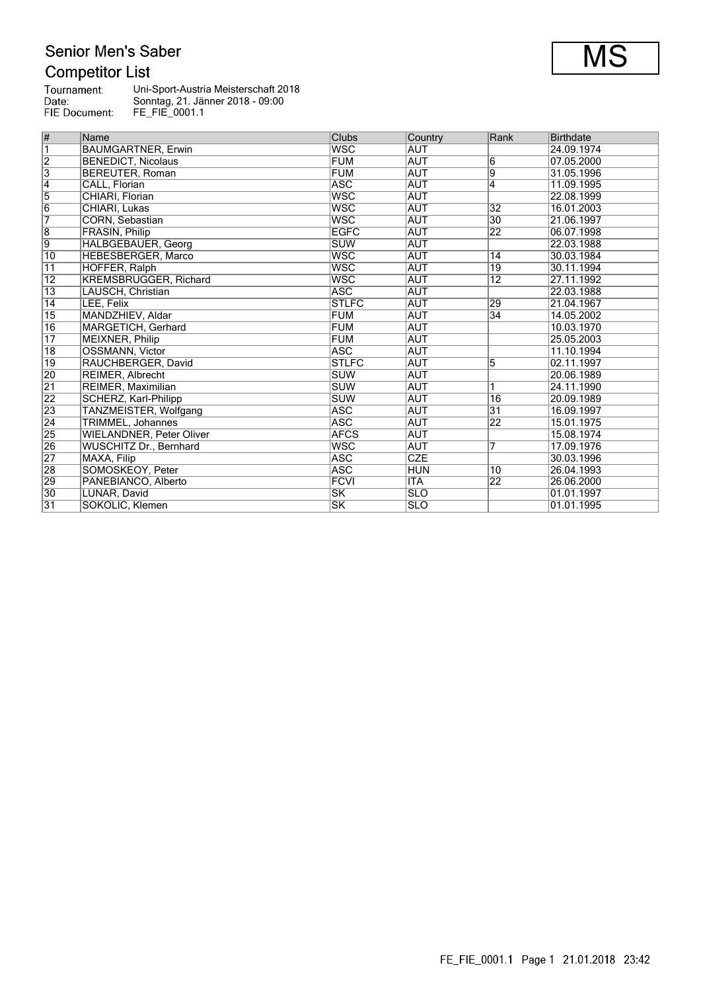# Senior Men's Saber

# **Competitor List**

| Tournament:   | Uni-Sport-Austria Meisterschaft 2018 |
|---------------|--------------------------------------|
| Date:         | Sonntag, 21. Jänner 2018 - 09:00     |
| FIE Document: | FE FIE 0001.1                        |

| #               | Name                            | Clubs                  | Country    | Rank            | <b>Birthdate</b> |
|-----------------|---------------------------------|------------------------|------------|-----------------|------------------|
| $\overline{1}$  | <b>BAUMGARTNER, Erwin</b>       | <b>WSC</b>             | <b>AUT</b> |                 | 24.09.1974       |
| $\overline{2}$  | <b>BENEDICT, Nicolaus</b>       | <b>FUM</b>             | <b>AUT</b> | 6               | 07.05.2000       |
| $\overline{3}$  | BEREUTER, Roman                 | <b>FUM</b>             | <b>AUT</b> | 9               | 31.05.1996       |
| $\overline{4}$  | CALL, Florian                   | <b>ASC</b>             | <b>AUT</b> | 4               | 11.09.1995       |
| $\overline{5}$  | CHIARI, Florian                 | <b>WSC</b>             | <b>AUT</b> |                 | 22.08.1999       |
| $\overline{6}$  | CHIARI, Lukas                   | <b>WSC</b>             | <b>AUT</b> | $\overline{32}$ | 16.01.2003       |
| 7               | CORN, Sebastian                 | <b>WSC</b>             | <b>AUT</b> | $\overline{30}$ | 21.06.1997       |
| $\overline{8}$  | FRASIN, Philip                  | <b>EGFC</b>            | <b>AUT</b> | $\overline{22}$ | 06.07.1998       |
| 9               | HALBGEBAUER, Georg              | <b>SUW</b>             | <b>AUT</b> |                 | 22.03.1988       |
| $\overline{10}$ | HEBESBERGER, Marco              | <b>WSC</b>             | <b>AUT</b> | 14              | 30.03.1984       |
| $\overline{11}$ | HOFFER, Ralph                   | <b>WSC</b>             | <b>AUT</b> | 19              | 30.11.1994       |
| $\overline{12}$ | <b>KREMSBRUGGER, Richard</b>    | <b>WSC</b>             | <b>AUT</b> | $\overline{12}$ | 27.11.1992       |
| $\overline{13}$ | LAUSCH, Christian               | <b>ASC</b>             | <b>AUT</b> |                 | 22.03.1988       |
| 14              | LEE, Felix                      | <b>STLFC</b>           | <b>AUT</b> | 29              | 21.04.1967       |
| $\overline{15}$ | MANDZHIEV, Aldar                | <b>FUM</b>             | AUT        | $\overline{34}$ | 14.05.2002       |
| 16              | MARGETICH, Gerhard              | <b>FUM</b>             | <b>AUT</b> |                 | 10.03.1970       |
| $\overline{17}$ | <b>MEIXNER, Philip</b>          | <b>FUM</b>             | <b>AUT</b> |                 | 25.05.2003       |
| $\overline{18}$ | <b>OSSMANN, Victor</b>          | <b>ASC</b>             | <b>AUT</b> |                 | 11.10.1994       |
| 19              | RAUCHBERGER, David              | <b>STLFC</b>           | <b>AUT</b> | 5               | 02.11.1997       |
| 20              | REIMER, Albrecht                | <b>SUW</b>             | <b>AUT</b> |                 | 20.06.1989       |
| $\overline{21}$ | REIMER, Maximilian              | <b>SUW</b>             | <b>AUT</b> |                 | 24.11.1990       |
| $\overline{22}$ | SCHERZ, Karl-Philipp            | <b>SUW</b>             | <b>AUT</b> | 16              | 20.09.1989       |
| 23              | TANZMEISTER, Wolfgang           | <b>ASC</b>             | <b>AUT</b> | $\overline{31}$ | 16.09.1997       |
| $\overline{24}$ | TRIMMEL, Johannes               | <b>ASC</b>             | <b>AUT</b> | 22              | 15.01.1975       |
| $\overline{25}$ | <b>WIELANDNER, Peter Oliver</b> | <b>AFCS</b>            | <b>AUT</b> |                 | 15.08.1974       |
| 26              | WUSCHITZ Dr., Bernhard          | <b>WSC</b>             | <b>AUT</b> | 7               | 17.09.1976       |
| $\overline{27}$ | MAXA, Filip                     | <b>ASC</b>             | <b>CZE</b> |                 | 30.03.1996       |
| $\overline{28}$ | SOMOSKEOY, Peter                | <b>ASC</b>             | <b>HUN</b> | 10              | 26.04.1993       |
| 29              | PANEBIANCO, Alberto             | <b>FCVI</b>            | <b>ITA</b> | $\overline{22}$ | 26.06.2000       |
| 30              | LUNAR, David                    | $\overline{\text{SK}}$ | <b>SLO</b> |                 | 01.01.1997       |
| $\overline{31}$ | SOKOLIC, Klemen                 | $\overline{\text{SK}}$ | <b>SLO</b> |                 | 01.01.1995       |

 $\overline{\text{MS}}$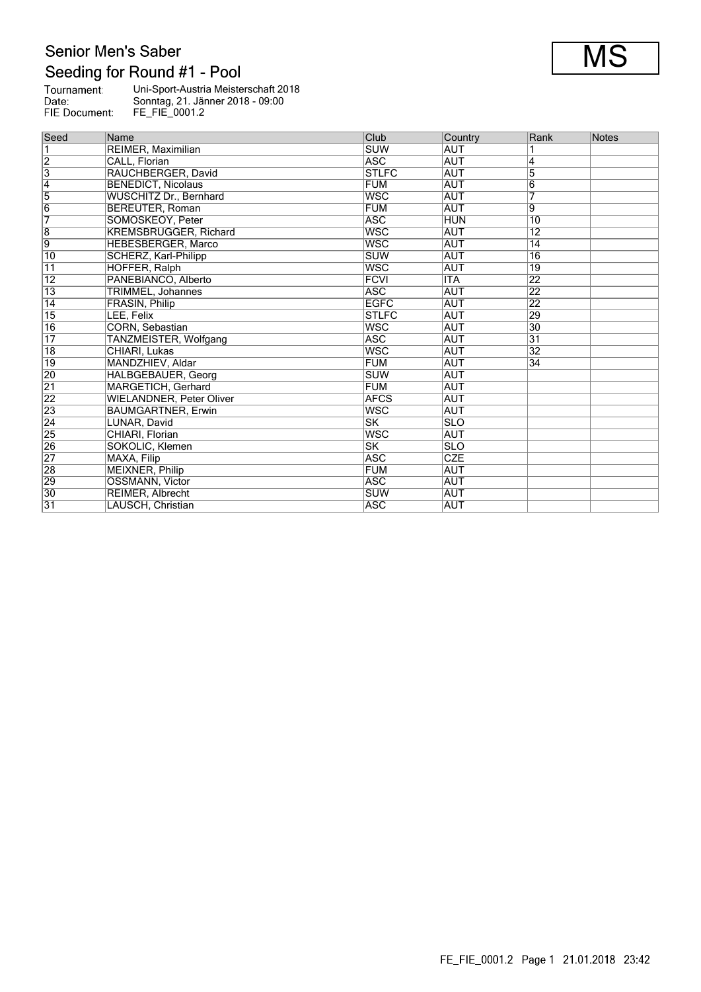# Senior Men's Saber Seeding for Round #1 - Pool

| Seed                    | Name                            | Club                     | Country    | Rank            | Notes |
|-------------------------|---------------------------------|--------------------------|------------|-----------------|-------|
| $\overline{1}$          | REIMER, Maximilian              | <b>SUW</b>               | <b>AUT</b> |                 |       |
| $\overline{2}$          | CALL, Florian                   | <b>ASC</b>               | <b>AUT</b> | 4               |       |
| $\overline{\mathbf{3}}$ | RAUCHBERGER, David              | <b>STLFC</b>             | <b>AUT</b> | 5               |       |
| $\overline{4}$          | <b>BENEDICT, Nicolaus</b>       | <b>FUM</b>               | <b>AUT</b> | 6               |       |
| $\overline{5}$          | WUSCHITZ Dr., Bernhard          | <b>WSC</b>               | <b>AUT</b> | 7               |       |
| 6                       | <b>BEREUTER, Roman</b>          | <b>FUM</b>               | <b>AUT</b> | 9               |       |
| 7                       | SOMOSKEOY, Peter                | <b>ASC</b>               | <b>HUN</b> | 10              |       |
| $\overline{8}$          | <b>KREMSBRUGGER, Richard</b>    | <b>WSC</b>               | <b>AUT</b> | $\overline{12}$ |       |
| 9                       | <b>HEBESBERGER, Marco</b>       | <b>WSC</b>               | <b>AUT</b> | $\overline{14}$ |       |
| 10                      | SCHERZ, Karl-Philipp            | <b>SUW</b>               | <b>AUT</b> | $\overline{16}$ |       |
| 11                      | HOFFER, Ralph                   | <b>WSC</b>               | <b>AUT</b> | 19              |       |
| $\overline{12}$         | PANEBIANCO, Alberto             | <b>FCVI</b>              | <b>ITA</b> | $\overline{22}$ |       |
| $\overline{13}$         | TRIMMEL, Johannes               | <b>ASC</b>               | <b>AUT</b> | 22              |       |
| 14                      | FRASIN, Philip                  | <b>EGFC</b>              | <b>AUT</b> | 22              |       |
| $\overline{15}$         | LEE, Felix                      | <b>STLFC</b>             | <b>AUT</b> | 29              |       |
| 16                      | CORN, Sebastian                 | <b>WSC</b>               | AUT        | $\overline{30}$ |       |
| $\overline{17}$         | TANZMEISTER, Wolfgang           | <b>ASC</b>               | <b>AUT</b> | $\overline{31}$ |       |
| $\overline{18}$         | CHIARI, Lukas                   | <b>WSC</b>               | <b>AUT</b> | $\overline{32}$ |       |
| $\overline{19}$         | MANDZHIEV, Aldar                | FUM                      | <b>AUT</b> | 34              |       |
| 20                      | HALBGEBAUER, Georg              | <b>SUW</b>               | <b>AUT</b> |                 |       |
| $\overline{21}$         | MARGETICH, Gerhard              | <b>FUM</b>               | AUT        |                 |       |
| $\overline{22}$         | <b>WIELANDNER, Peter Oliver</b> | <b>AFCS</b>              | AUT        |                 |       |
| $\overline{23}$         | <b>BAUMGARTNER, Erwin</b>       | <b>WSC</b>               | <b>AUT</b> |                 |       |
| $\overline{24}$         | LUNAR, David                    | lsk                      | <b>SLO</b> |                 |       |
| 25                      | CHIARI, Florian                 | <b>WSC</b>               | <b>AUT</b> |                 |       |
| 26                      | SOKOLIC, Klemen                 | $\overline{\textsf{SK}}$ | <b>SLO</b> |                 |       |
| $\overline{27}$         | MAXA, Filip                     | <b>ASC</b>               | CZE        |                 |       |
| $\overline{28}$         | MEIXNER, Philip                 | FUM                      | <b>AUT</b> |                 |       |
| 29                      | <b>OSSMANN, Victor</b>          | <b>ASC</b>               | AUT        |                 |       |
| 30                      | REIMER, Albrecht                | <b>SUW</b>               | AUT        |                 |       |
| $\overline{31}$         | LAUSCH, Christian               | <b>ASC</b>               | <b>AUT</b> |                 |       |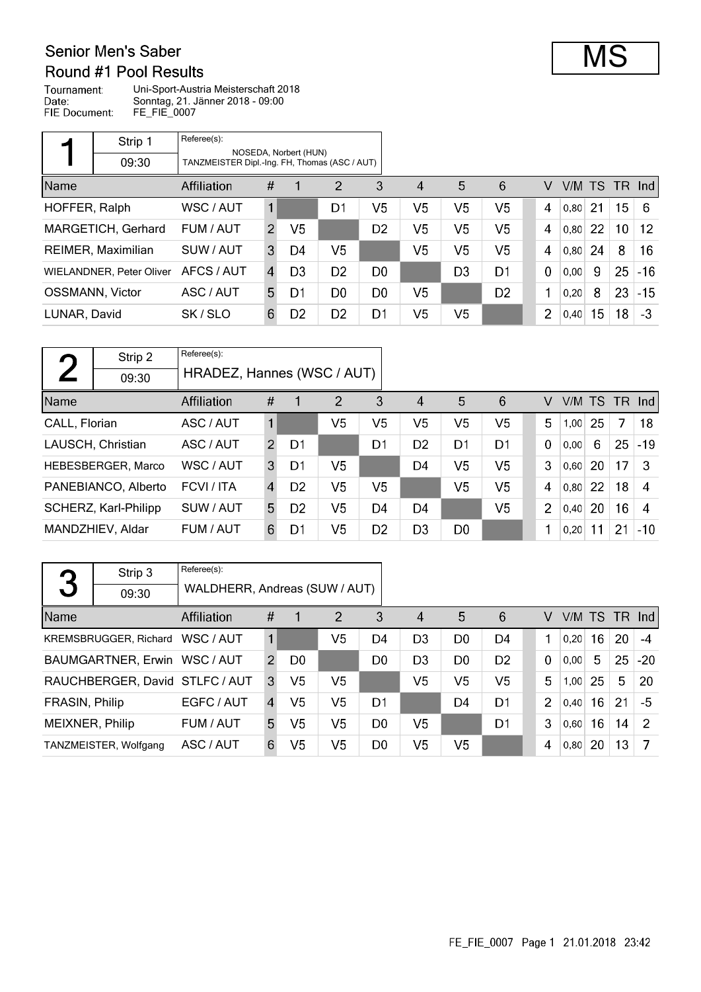#### Senior Men's Saber Round #1 Pool Results

Tournament: Uni-Sport-Austria Meisterschaft 2018 Date: Sonntag, 21. Jänner 2018 - 09:00 FIE Document: FE\_FIE\_0007

|               | Strip 1                         | Referee(s):                                   |                |                       |                |                |                        |                |                |             |      |     |      |       |
|---------------|---------------------------------|-----------------------------------------------|----------------|-----------------------|----------------|----------------|------------------------|----------------|----------------|-------------|------|-----|------|-------|
|               | 09:30                           | TANZMEISTER Dipl.-Ing. FH, Thomas (ASC / AUT) |                | NOSEDA, Norbert (HUN) |                |                |                        |                |                |             |      |     |      |       |
| Name          |                                 | <b>Affiliation</b>                            | #              | 1                     | $\overline{2}$ | 3              | $\boldsymbol{\Lambda}$ | 5              | 6              | V           | V/M  | TS. | -TR- | -Ind  |
| HOFFER, Ralph |                                 | WSC / AUT                                     | 1              |                       | D1             | V <sub>5</sub> | V <sub>5</sub>         | V5             | V <sub>5</sub> | 4           | 0,80 | -21 | 15   | -6    |
|               | MARGETICH, Gerhard              | FUM / AUT                                     | $\overline{2}$ | V5                    |                | D <sub>2</sub> | V <sub>5</sub>         | V5             | V <sub>5</sub> | 4           | 0,80 | 22  | 10   | 12    |
|               | REIMER, Maximilian              | SUW / AUT                                     | 3              | D4                    | V5             |                | V <sub>5</sub>         | V5             | V <sub>5</sub> | 4           | 0,80 | 24  | 8    | 16    |
|               | <b>WIELANDNER, Peter Oliver</b> | AFCS / AUT                                    | $\overline{4}$ | D <sub>3</sub>        | D <sub>2</sub> | D <sub>0</sub> |                        | D <sub>3</sub> | D <sub>1</sub> | $\mathbf 0$ | 0,00 | 9   | 25   | $-16$ |
|               | <b>OSSMANN, Victor</b>          | ASC / AUT                                     | 5.             | D1                    | D0             | D <sub>0</sub> | V <sub>5</sub>         |                | D <sub>2</sub> | 1           | 0,20 | 8   | 23   | $-15$ |
| LUNAR, David  |                                 | SK/SLO                                        | 6              | D <sub>2</sub>        | D <sub>2</sub> | D <sub>1</sub> | V <sub>5</sub>         | V <sub>5</sub> |                | 2           | 0,40 | 15  | 18   | $-3$  |

| $\Gamma$      | Strip 2              | Referee(s):                |                |                |                |                |                        |                |                |             |        |    |      |                  |
|---------------|----------------------|----------------------------|----------------|----------------|----------------|----------------|------------------------|----------------|----------------|-------------|--------|----|------|------------------|
|               | 09:30                | HRADEZ, Hannes (WSC / AUT) |                |                |                |                |                        |                |                |             |        |    |      |                  |
| Name          |                      | <b>Affiliation</b>         | #              | 1              | $\overline{2}$ | 3              | $\boldsymbol{\Lambda}$ | 5              | 6              | v           | V/M TS |    | - TR | $\lfloor$ lnd    |
| CALL, Florian |                      | ASC / AUT                  |                |                | V5.            | V5             | V5                     | V5             | V <sub>5</sub> | 5           | 1,00   | 25 | 7    | 18               |
|               | LAUSCH, Christian    | ASC / AUT                  | $\mathcal{P}$  | D1             |                | D1             | D <sub>2</sub>         | D <sub>1</sub> | D <sub>1</sub> | $\mathbf 0$ | 0.00   | 6  | 25   | $-19$            |
|               | HEBESBERGER, Marco   | WSC/AUT                    | 3              | D1             | V5             |                | D <sub>4</sub>         | V <sub>5</sub> | V <sub>5</sub> | 3           | 0,60   | 20 | 17   | -3               |
|               | PANEBIANCO, Alberto  | FCVI / ITA                 | $\overline{4}$ | D <sub>2</sub> | V <sub>5</sub> | V5             |                        | V5             | V <sub>5</sub> | 4           | 0,80   | 22 | 18   | $\boldsymbol{A}$ |
|               | SCHERZ, Karl-Philipp | SUW / AUT                  | 5              | D <sub>2</sub> | V5             | D <sub>4</sub> | D4                     |                | V <sub>5</sub> | 2           | 0,40   | 20 | 16   | 4                |
|               | MANDZHIEV, Aldar     | FUM / AUT                  | 6              | D1             | V <sub>5</sub> | D <sub>2</sub> | D <sub>3</sub>         | D <sub>0</sub> |                |             | 0,20   | 11 | 21   | $-10$            |

|                 | Strip 3                        | Referee(s):                   |               |                |                |                |                |                |                |                |        |    |    |        |
|-----------------|--------------------------------|-------------------------------|---------------|----------------|----------------|----------------|----------------|----------------|----------------|----------------|--------|----|----|--------|
| 3               | 09:30                          | WALDHERR, Andreas (SUW / AUT) |               |                |                |                |                |                |                |                |        |    |    |        |
| Name            |                                | Affiliation                   | #             | -1             | $\overline{2}$ | 3              | 4              | 5              | 6              | V              | V/M TS |    |    | TR Ind |
|                 | <b>KREMSBRUGGER, Richard</b>   | WSC / AUT                     |               |                | V5             | D4             | D <sub>3</sub> | D <sub>0</sub> | D4             |                | 0.20   | 16 | 20 | $-4$   |
|                 | BAUMGARTNER, Erwin WSC / AUT   |                               | $\mathcal{P}$ | D <sub>0</sub> |                | D <sub>0</sub> | D <sub>3</sub> | D <sub>0</sub> | D <sub>2</sub> | $\Omega$       | 0.00   | 5  | 25 | $-20$  |
|                 | RAUCHBERGER, David STLFC / AUT |                               | 3             | V <sub>5</sub> | V5             |                | V <sub>5</sub> | V5             | V <sub>5</sub> | 5              | 1,00   | 25 | 5  | 20     |
| FRASIN, Philip  |                                | EGFC / AUT                    | 4             | V5             | V5             | D <sub>1</sub> |                | D4             | D <sub>1</sub> | $\overline{2}$ | 0,40   | 16 | 21 | -5     |
| MEIXNER, Philip |                                | FUM / AUT                     | 5             | V5             | V5             | D <sub>0</sub> | V5             |                | D <sub>1</sub> | 3              | 0,60   | 16 | 14 | 2      |
|                 | TANZMEISTER, Wolfgang          | ASC / AUT                     | 6             | V5             | V <sub>5</sub> | D <sub>0</sub> | V <sub>5</sub> | V5             |                | 4              | 0, 80  | 20 | 13 | 7      |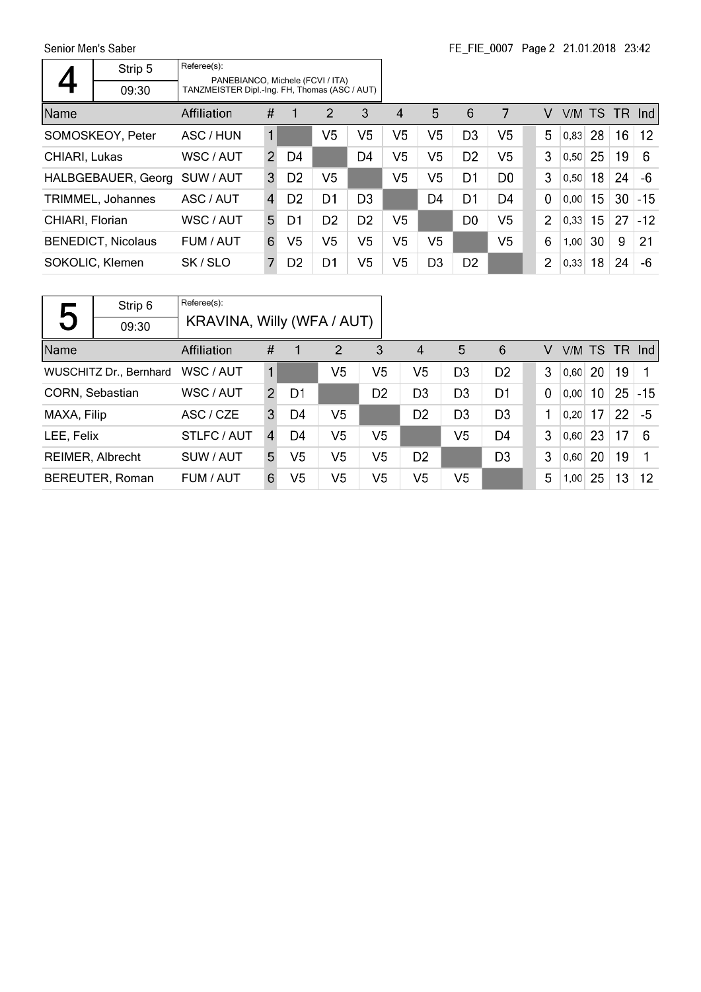Senior Men's Saber

|                 | Strip 5                   | Referee(s):                                                                       |                |                |                |                |                |                |                |                |                |        |    |      |       |
|-----------------|---------------------------|-----------------------------------------------------------------------------------|----------------|----------------|----------------|----------------|----------------|----------------|----------------|----------------|----------------|--------|----|------|-------|
|                 | 09:30                     | PANEBIANCO, Michele (FCVI / ITA)<br>TANZMEISTER Dipl.-Ing. FH, Thomas (ASC / AUT) |                |                |                |                |                |                |                |                |                |        |    |      |       |
| <b>Name</b>     |                           | Affiliation                                                                       | #              |                | $\mathcal{P}$  | 3              | 4              | 5              | 6              | 7              | V              | V/M TS |    | -TR. | -Ind  |
|                 | SOMOSKEOY, Peter          | ASC / HUN                                                                         | $\mathbf{1}$   |                | V5             | V5             | V <sub>5</sub> | V <sub>5</sub> | D <sub>3</sub> | V <sub>5</sub> | 5              | 0,83   | 28 | 16   | 12    |
| CHIARI, Lukas   |                           | WSC / AUT                                                                         | 2              | D4             |                | D <sub>4</sub> | V5             | V <sub>5</sub> | D <sub>2</sub> | V5             | 3              | 0.50   | 25 | 19   | 6     |
|                 | HALBGEBAUER, Georg        | SUW / AUT                                                                         | 3              | D <sub>2</sub> | V5             |                | V <sub>5</sub> | V <sub>5</sub> | D1             | D <sub>0</sub> | 3              | 0,50   | 18 | 24   | -6    |
|                 | TRIMMEL, Johannes         | ASC / AUT                                                                         | $\overline{4}$ | D <sub>2</sub> | D1             | D <sub>3</sub> |                | D4             | D <sub>1</sub> | D4             | $\mathbf 0$    | 0.00   | 15 | 30   | $-15$ |
| CHIARI, Florian |                           | WSC / AUT                                                                         | 5.             | D1             | D <sub>2</sub> | D <sub>2</sub> | V <sub>5</sub> |                | D <sub>0</sub> | V <sub>5</sub> | $\overline{2}$ | 0.33   | 15 | 27   | $-12$ |
|                 | <b>BENEDICT, Nicolaus</b> | FUM / AUT                                                                         | 6              | V5             | V <sub>5</sub> | V5             | V <sub>5</sub> | V <sub>5</sub> |                | V <sub>5</sub> | 6              | 1,00   | 30 | 9    | 21    |
|                 | SOKOLIC, Klemen           | SK/SLO                                                                            | $\overline{7}$ | D <sub>2</sub> | D <sub>1</sub> | V5             | V5             | D <sub>3</sub> | D <sub>2</sub> |                | $\overline{2}$ | 0,33   | 18 | 24   | -6    |

|                 | Strip 6                       | Referee(s):                |                |                |                |                |                  |                |                |             |                 |                 |    |       |
|-----------------|-------------------------------|----------------------------|----------------|----------------|----------------|----------------|------------------|----------------|----------------|-------------|-----------------|-----------------|----|-------|
| 5               | 09:30                         | KRAVINA, Willy (WFA / AUT) |                |                |                |                |                  |                |                |             |                 |                 |    |       |
| Name            |                               | <b>Affiliation</b>         | #              | 1              | $\overline{2}$ | 3              | $\boldsymbol{A}$ | 5              | 6              | V           | $V/M$ TS TR Ind |                 |    |       |
|                 | <b>WUSCHITZ Dr., Bernhard</b> | WSC / AUT                  | 1              |                | V5             | V <sub>5</sub> | V5               | D <sub>3</sub> | D <sub>2</sub> | 3           | 0.60            | <b>20</b>       | 19 | 1     |
| CORN, Sebastian |                               | WSC / AUT                  | $\mathcal{P}$  | D1             |                | D <sub>2</sub> | D <sub>3</sub>   | D <sub>3</sub> | D <sub>1</sub> | $\mathbf 0$ | 0,00            | 10 <sub>1</sub> | 25 | $-15$ |
| MAXA, Filip     |                               | ASC / CZE                  | 3              | D4             | V <sub>5</sub> |                | D <sub>2</sub>   | D <sub>3</sub> | D <sub>3</sub> | 1           | 0.20            | 17              | 22 | -5    |
| LEE, Felix      |                               | STLFC / AUT                | $\overline{4}$ | D4             | V <sub>5</sub> | V <sub>5</sub> |                  | V <sub>5</sub> | D <sub>4</sub> | 3           | 0,60            | 23              | 17 | -6    |
|                 | <b>REIMER, Albrecht</b>       | SUW / AUT                  | 5              | V5             | V <sub>5</sub> | V <sub>5</sub> | D <sub>2</sub>   |                | D <sub>3</sub> | 3           | 0,60            | 20              | 19 |       |
|                 | BEREUTER, Roman               | FUM / AUT                  | 6              | V <sub>5</sub> | V5             | V5             | V <sub>5</sub>   | V5             |                | 5           | 1,00            | 25              | 13 | 12    |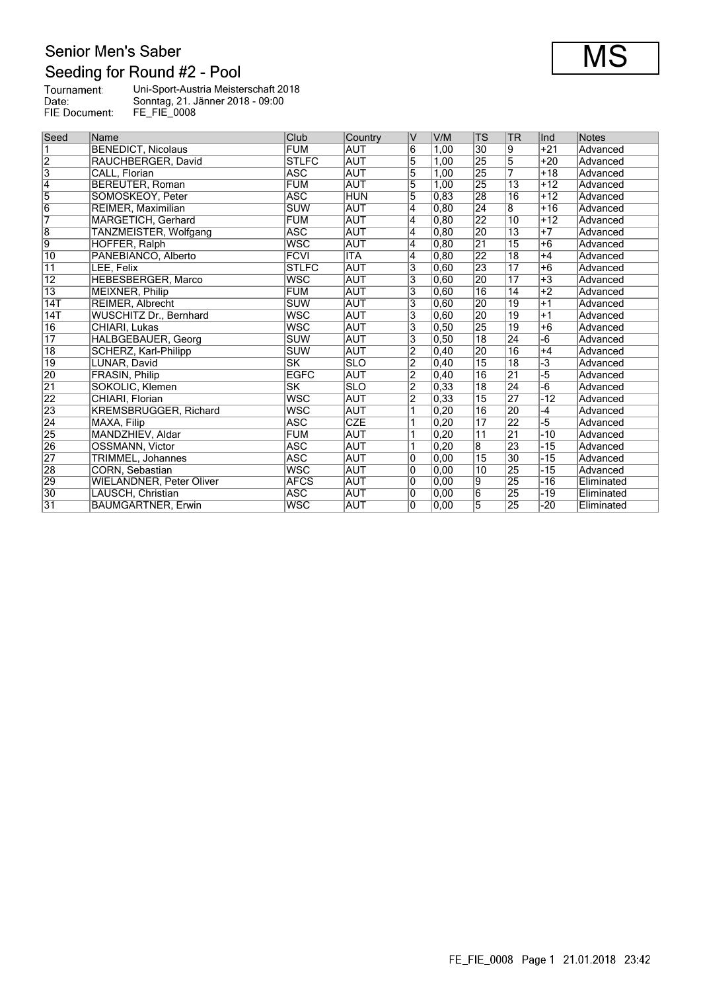### Senior Men's Saber Seeding for Round #2 - Pool

| Tournament:   | Uni-Sport-Austria Meisterschaft 2018 |
|---------------|--------------------------------------|
| Date:         | Sonntag, 21. Jänner 2018 - 09:00     |
| FIE Document: | <b>FE FIE 0008</b>                   |

| Seed                    | Name                            | Club                   | Country                 | v              | V/M               | <b>TS</b>       | <b>TR</b>       | Ind                  | <b>Notes</b> |
|-------------------------|---------------------------------|------------------------|-------------------------|----------------|-------------------|-----------------|-----------------|----------------------|--------------|
| $\overline{\mathbf{1}}$ | <b>BENEDICT, Nicolaus</b>       | <b>FUM</b>             | <b>AUT</b>              | $\overline{6}$ | 1.00              | 30              | 9               | $+21$                | Advanced     |
| $\overline{2}$          | RAUCHBERGER, David              | <b>STLFC</b>           | <b>AUT</b>              | 5              | 1,00              | 25              | $\overline{5}$  | $+20$                | Advanced     |
| $\overline{3}$          | CALL, Florian                   | <b>ASC</b>             | <b>AUT</b>              | 5              | 1,00              | $\overline{25}$ | 7               | $+18$                | Advanced     |
| $\overline{4}$          | <b>BEREUTER, Roman</b>          | <b>FUM</b>             | <b>AUT</b>              | 5              | 1.00              | 25              | 13              | $+12$                | Advanced     |
| $\overline{5}$          | SOMOSKEOY, Peter                | <b>ASC</b>             | <b>HUN</b>              | $\overline{5}$ | 0,83              | 28              | $\overline{16}$ | $+12$                | Advanced     |
| $\overline{6}$          | REIMER, Maximilian              | SUW                    | <b>AUT</b>              | 4              | 0,80              | $\overline{24}$ | $\overline{8}$  | $+16$                | Advanced     |
| $\overline{7}$          | MARGETICH, Gerhard              | <b>FUM</b>             | <b>AUT</b>              | 4              | 0.80              | 22              | 10              | $+12$                | Advanced     |
| $\overline{8}$          | TANZMEISTER, Wolfgang           | <b>ASC</b>             | <b>AUT</b>              | 4              | 0.80              | 20              | $\overline{13}$ | $+7$                 | Advanced     |
| $\overline{9}$          | HOFFER, Ralph                   | WSC                    | <b>AUT</b>              | $\overline{4}$ | 0,80              | $\overline{21}$ | $\overline{15}$ | $+6$                 | Advanced     |
| $\overline{10}$         | PANEBIANCO, Alberto             | <b>FCVI</b>            | <b>ITA</b>              | 4              | 0.80              | $\overline{22}$ | $\overline{18}$ | $+4$                 | Advanced     |
| $\overline{11}$         | LEE, Felix                      | <b>STLFC</b>           | <b>AUT</b>              | 3              | 0,60              | 23              | $\overline{17}$ | $+6$                 | Advanced     |
| $\overline{12}$         | HEBESBERGER, Marco              | <b>WSC</b>             | <b>AUT</b>              | 3              | 0,60              | $ 20\rangle$    | $\overline{17}$ | $+3$                 | Advanced     |
| $\overline{13}$         | <b>MEIXNER, Philip</b>          | <b>FUM</b>             | <b>AUT</b>              | 3              | 0,60              | $\overline{16}$ | $\overline{14}$ | $+2$                 | Advanced     |
| 14T                     | <b>REIMER, Albrecht</b>         | <b>SUW</b>             | <b>AUT</b>              | $\overline{3}$ | 0,60              | 20              | $\overline{19}$ | $+1$                 | Advanced     |
| 14T                     | <b>WUSCHITZ Dr., Bernhard</b>   | <b>WSC</b>             | <b>AUT</b>              | 3              | 0,60              | $\overline{20}$ | $\overline{19}$ | $+1$                 | Advanced     |
| $\overline{16}$         | CHIARI, Lukas                   | <b>WSC</b>             | <b>AUT</b>              | 3              | 0,50              | 25              | $\overline{19}$ | $+6$                 | Advanced     |
| $\overline{17}$         | <b>HALBGEBAUER, Georg</b>       | <b>SUW</b>             | <b>AUT</b>              | 3              | 0, 50             | $\overline{18}$ | 24              | -6                   | Advanced     |
| $\overline{18}$         | SCHERZ, Karl-Philipp            | <b>SUW</b>             | <b>AUT</b>              | $\overline{2}$ | 0,40              | 20              | 16              | $+4$                 | Advanced     |
| $\overline{19}$         | LUNAR, David                    | $\overline{\text{SK}}$ | $\overline{\text{SLO}}$ | $\overline{2}$ | 0,40              | $\overline{15}$ | $\overline{18}$ | $\overline{\cdot 3}$ | Advanced     |
| 20                      | <b>FRASIN, Philip</b>           | <b>EGFC</b>            | <b>AUT</b>              | $\overline{2}$ | $ 0,40\rangle$    | $\overline{16}$ | 21              | -5                   | Advanced     |
| $\overline{21}$         | SOKOLIC, Klemen                 | SK                     | <b>SLO</b>              | $\overline{2}$ | 0.33              | $\overline{18}$ | $\overline{24}$ | $-\overline{6}$      | Advanced     |
| 22                      | CHIARI, Florian                 | <b>WSC</b>             | <b>AUT</b>              | $\overline{2}$ | 0,33              | $\overline{15}$ | 27              | $-12$                | Advanced     |
| 23                      | <b>KREMSBRUGGER, Richard</b>    | <b>WSC</b>             | <b>AUT</b>              |                | 0,20              | $\overline{16}$ | 20              | $-4$                 | Advanced     |
| $\overline{24}$         | MAXA, Filip                     | <b>ASC</b>             | <b>CZE</b>              |                | 0.20              | $\overline{17}$ | $\overline{22}$ | $-5$                 | Advanced     |
| 25                      | MANDZHIEV, Aldar                | <b>FUM</b>             | <b>AUT</b>              |                | 0,20              | $\overline{11}$ | $\overline{21}$ | $-10$                | Advanced     |
| 26                      | OSSMANN, Victor                 | <b>ASC</b>             | <b>AUT</b>              |                | 0,20              | $\overline{8}$  | 23              | $-15$                | Advanced     |
| 27                      | <b>TRIMMEL, Johannes</b>        | <b>ASC</b>             | <b>AUT</b>              | $\overline{0}$ | 0,00              | $\overline{15}$ | 30              | $-15$                | Advanced     |
| 28                      | CORN, Sebastian                 | <b>WSC</b>             | <b>AUT</b>              | 0              | 0,00              | 10              | 25              | $-15$                | Advanced     |
| 29                      | <b>WIELANDNER, Peter Oliver</b> | <b>AFCS</b>            | <b>AUT</b>              | 0              | $\overline{0,00}$ | 19              | 25              | $-16$                | Eliminated   |
| $\overline{30}$         | LAUSCH, Christian               | <b>ASC</b>             | <b>AUT</b>              | 0              | 0,00              | 6               | 25              | $-19$                | Eliminated   |
| 31                      | <b>BAUMGARTNER, Erwin</b>       | <b>WSC</b>             | <b>AUT</b>              | $\overline{0}$ | 0,00              | 5               | 25              | $-20$                | Eliminated   |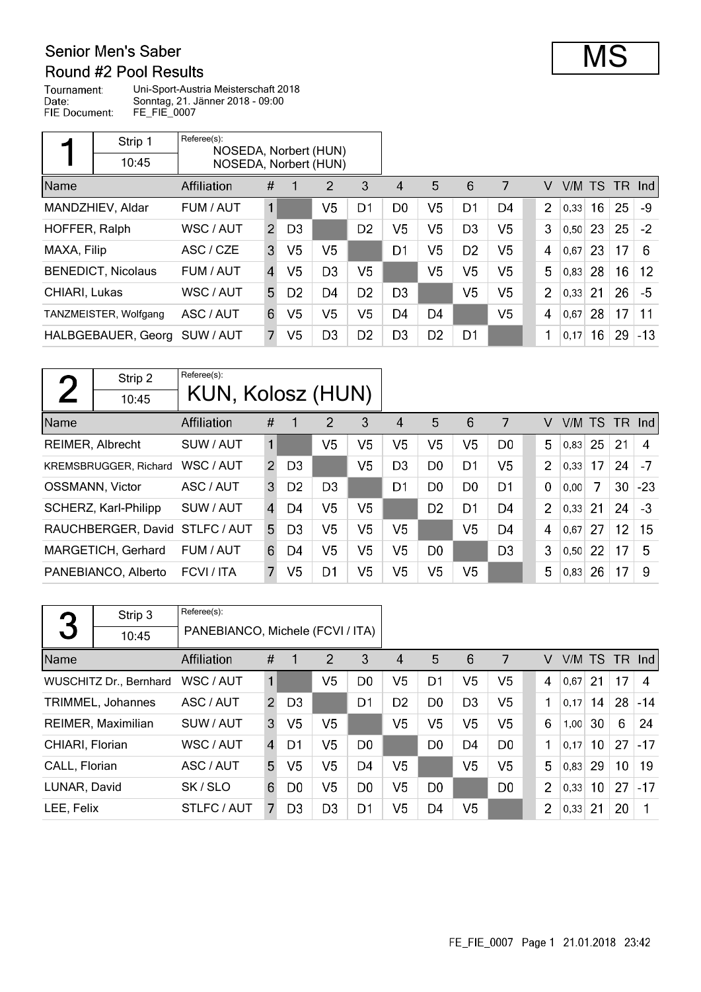#### Senior Men's Saber Round #2 Pool Results

Tournament: Uni-Sport-Austria Meisterschaft 2018 Date: Sonntag, 21. Jänner 2018 - 09:00 FIE Document: FE\_FIE\_0007

|               | Strip 1                   | Referee(s):<br>NOSEDA, Norbert (HUN) |                |                |                |                |                |                |                |                |                |        |    |        |       |
|---------------|---------------------------|--------------------------------------|----------------|----------------|----------------|----------------|----------------|----------------|----------------|----------------|----------------|--------|----|--------|-------|
|               | 10:45                     | NOSEDA, Norbert (HUN)                |                |                |                |                |                |                |                |                |                |        |    |        |       |
| Name          |                           | Affiliation                          | #              |                | 2              | 3              | 4              | 5              | 6              | 7              | v              | V/M TS |    | TR Ind |       |
|               | MANDZHIEV, Aldar          | FUM / AUT                            | 1              |                | V5             | D1             | D <sub>0</sub> | V5             | D1             | D4             | $\overline{2}$ | 0,33   | 16 | 25     | -9    |
| HOFFER, Ralph |                           | WSC / AUT                            | 2              | D <sub>3</sub> |                | D <sub>2</sub> | V5             | V <sub>5</sub> | D <sub>3</sub> | V5             | 3              | 0, 50  | 23 | 25     | $-2$  |
| MAXA, Filip   |                           | ASC / CZE                            | 3              | V5             | V5             |                | D1             | V <sub>5</sub> | D <sub>2</sub> | V5             | 4              | 0,67   | 23 | 17     | 6     |
|               | <b>BENEDICT, Nicolaus</b> | FUM / AUT                            | $\overline{A}$ | V5             | D <sub>3</sub> | V5             |                | V <sub>5</sub> | V <sub>5</sub> | V <sub>5</sub> | 5              | 0,83   | 28 | 16     | 12    |
| CHIARI, Lukas |                           | WSC / AUT                            | 5.             | D <sub>2</sub> | D4             | D <sub>2</sub> | D <sub>3</sub> |                | V5             | V <sub>5</sub> | $\overline{2}$ | 0,33   | 21 | 26     | $-5$  |
|               | TANZMEISTER, Wolfgang     | ASC / AUT                            | 6              | V <sub>5</sub> | V <sub>5</sub> | V <sub>5</sub> | D4             | D <sub>4</sub> |                | V <sub>5</sub> | 4              | 0,67   | 28 | 17     | 11    |
|               | HALBGEBAUER, Georg        | SUW / AUT                            |                | V <sub>5</sub> | D <sub>3</sub> | D <sub>2</sub> | D <sub>3</sub> | D <sub>2</sub> | D <sub>1</sub> |                | 1              | 0,17   | 16 | 29     | $-13$ |

|      | Strip 2                        | Referee(s):       |               |                |                |                |                |                |                |                |                |        |    |        |       |
|------|--------------------------------|-------------------|---------------|----------------|----------------|----------------|----------------|----------------|----------------|----------------|----------------|--------|----|--------|-------|
|      | 10:45                          | KUN, Kolosz (HUN) |               |                |                |                |                |                |                |                |                |        |    |        |       |
| Name |                                | Affiliation       | #             | 4              | 2              | 3              | 4              | 5              | 6              | 7              | V              | V/M TS |    | TR Ind |       |
|      | <b>REIMER, Albrecht</b>        | SUW / AUT         | 1             |                | V5             | V5             | V5             | V5             | V5             | D <sub>0</sub> | 5              | 0.83   | 25 | 21     | 4     |
|      | <b>KREMSBRUGGER, Richard</b>   | WSC / AUT         | $\mathcal{P}$ | D <sub>3</sub> |                | V <sub>5</sub> | D <sub>3</sub> | D <sub>0</sub> | D1             | V <sub>5</sub> | $\overline{2}$ | 0,33   | 17 | 24     | $-7$  |
|      | <b>OSSMANN, Victor</b>         | ASC / AUT         | 3             | D <sub>2</sub> | D <sub>3</sub> |                | D <sub>1</sub> | D <sub>0</sub> | D <sub>0</sub> | D <sub>1</sub> | $\mathbf 0$    | 0.00   | 7  | 30     | $-23$ |
|      | SCHERZ, Karl-Philipp           | SUW / AUT         | $\mathbf{A}$  | D4             | V5             | V5             |                | D <sub>2</sub> | D1             | D4             | $\overline{2}$ | 0,33   | 21 | 24     | $-3$  |
|      | RAUCHBERGER, David STLFC / AUT |                   | 5             | D <sub>3</sub> | V5             | V5             | V5             |                | V <sub>5</sub> | D4             | $\overline{4}$ | 0,67   | 27 | 12     | 15    |
|      | MARGETICH, Gerhard             | FUM / AUT         | 6             | D4             | V5             | V <sub>5</sub> | V5             | D <sub>0</sub> |                | D <sub>3</sub> | 3              | 0,50   | 22 | 17     | 5     |
|      | PANEBIANCO, Alberto            | FCVI / ITA        | 7             | V5             | D1             | V5             | V5             | V5             | V <sub>5</sub> |                | 5              | 0,83   | 26 | 17     | 9     |

|                 | Strip 3                       | Referee(s): |                                  |                |                |                |                |                |                |                |                |        |                 |                 |       |
|-----------------|-------------------------------|-------------|----------------------------------|----------------|----------------|----------------|----------------|----------------|----------------|----------------|----------------|--------|-----------------|-----------------|-------|
| 3               | 10:45                         |             | PANEBIANCO, Michele (FCVI / ITA) |                |                |                |                |                |                |                |                |        |                 |                 |       |
| Name            |                               | Affiliation | #                                | 1              | 2              | 3              | 4              | 5              | 6              | 7              | V              | V/M TS |                 | $TR$ Ind        |       |
|                 | <b>WUSCHITZ Dr., Bernhard</b> | WSC / AUT   |                                  |                | V5             | D <sub>0</sub> | V5             | D1             | V <sub>5</sub> | V <sub>5</sub> | 4              | 0,67   | 21              | 17              | 4     |
|                 | TRIMMEL, Johannes             | ASC / AUT   | $\overline{2}$                   | D <sub>3</sub> |                | D1             | D <sub>2</sub> | D <sub>0</sub> | D <sub>3</sub> | V <sub>5</sub> | 1              | 0,17   | 14              | 28              | $-14$ |
|                 | REIMER, Maximilian            | SUW / AUT   | 3                                | V5             | V <sub>5</sub> |                | V <sub>5</sub> | V <sub>5</sub> | V <sub>5</sub> | V <sub>5</sub> | 6              | 1,00   | 30              | 6               | 24    |
| CHIARI, Florian |                               | WSC / AUT   | $\overline{4}$                   | D1             | V <sub>5</sub> | D <sub>0</sub> |                | D <sub>0</sub> | D <sub>4</sub> | D <sub>0</sub> | 1              | 0,17   | 10 <sup>°</sup> | 27              | $-17$ |
| CALL, Florian   |                               | ASC / AUT   | 5                                | V <sub>5</sub> | V <sub>5</sub> | D <sub>4</sub> | V5             |                | V <sub>5</sub> | V <sub>5</sub> | 5              | 0,83   | 29              | 10 <sup>°</sup> | 19    |
| LUNAR, David    |                               | SK/SLO      | 6                                | D <sub>0</sub> | V5             | D <sub>0</sub> | V5             | D <sub>0</sub> |                | D <sub>0</sub> | 2              | 0.33   | 10 <sup>°</sup> | 27              | $-17$ |
| LEE, Felix      |                               | STLFC / AUT | 7                                | D <sub>3</sub> | D <sub>3</sub> | D <sub>1</sub> | V5             | D4             | V5             |                | $\overline{2}$ | 0,33   | 21              | 20              |       |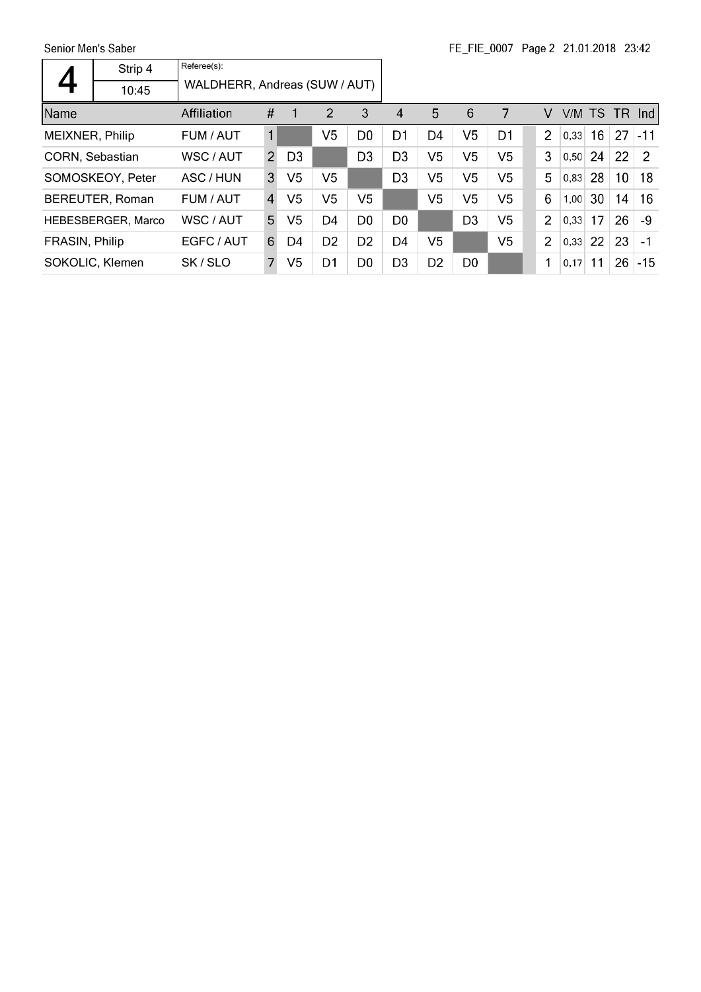Senior Men's Saber

|                 | Strip 4            | Referee(s):                   |                |                |                |                |                |                |                |                |                |        |                 |      |                |
|-----------------|--------------------|-------------------------------|----------------|----------------|----------------|----------------|----------------|----------------|----------------|----------------|----------------|--------|-----------------|------|----------------|
|                 | 10:45              | WALDHERR, Andreas (SUW / AUT) |                |                |                |                |                |                |                |                |                |        |                 |      |                |
| Name            |                    | Affiliation                   | #              |                | 2              | 3              | 4              | 5              | 6              | 7              | v              | V/M TS |                 | - TR | Ind            |
| MEIXNER, Philip |                    | FUM / AUT                     | $\mathbf{1}$   |                | V <sub>5</sub> | D <sub>0</sub> | D1             | D4             | V <sub>5</sub> | D1             | $\overline{2}$ | 0.33   | 16 <sup>°</sup> | 27   | $-11$          |
| CORN, Sebastian |                    | WSC / AUT                     | $\mathcal{P}$  | D <sub>3</sub> |                | D <sub>3</sub> | D <sub>3</sub> | V <sub>5</sub> | V <sub>5</sub> | V <sub>5</sub> | 3              | 0,50   | 24              | 22   | $\overline{2}$ |
|                 | SOMOSKEOY, Peter   | ASC / HUN                     | 3              | V <sub>5</sub> | V5             |                | D <sub>3</sub> | V <sub>5</sub> | V <sub>5</sub> | V <sub>5</sub> | 5              | 0,83   | 28              | 10   | 18             |
|                 | BEREUTER, Roman    | FUM / AUT                     | $\overline{4}$ | V5             | V5             | V5             |                | V <sub>5</sub> | V <sub>5</sub> | V5             | 6              | 1,00   | 30              | 14   | 16             |
|                 | HEBESBERGER, Marco | WSC / AUT                     | 5              | V <sub>5</sub> | D4             | D <sub>0</sub> | D0             |                | D <sub>3</sub> | V <sub>5</sub> | $\overline{2}$ | 0,33   | 17              | 26   | -9             |
| FRASIN, Philip  |                    | EGFC / AUT                    | 6              | D4             | D <sub>2</sub> | D <sub>2</sub> | D4             | V <sub>5</sub> |                | V <sub>5</sub> | 2              | 0,33   | 22              | 23   | $-1$           |
|                 | SOKOLIC, Klemen    | SK/SLO                        | 7              | V <sub>5</sub> | D <sub>1</sub> | D <sub>0</sub> | D <sub>3</sub> | D <sub>2</sub> | D <sub>0</sub> |                | 1              | 0.17   | 11              | 26   | $-15$          |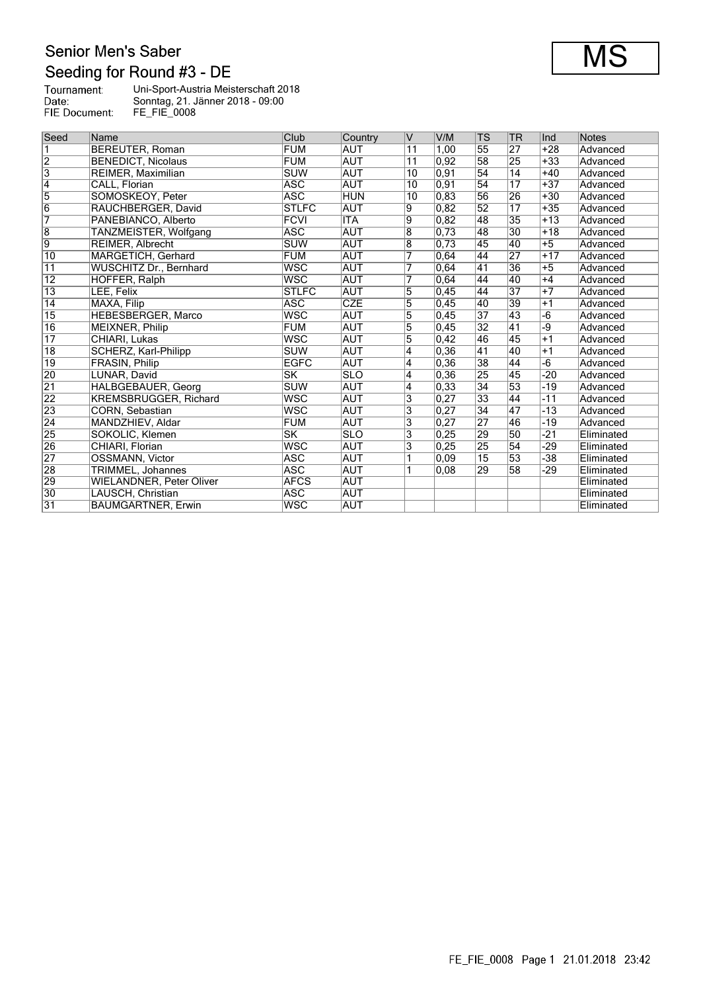# Senior Men's Saber Seeding for Round #3 - DE

| Tournament:   | Uni-Sport-Austria Meisterschaft 2018 |
|---------------|--------------------------------------|
| Date:         | Sonntag, 21. Jänner 2018 - 09:00     |
| FIE Document: | <b>FE FIE 0008</b>                   |
|               |                                      |

| Seed                    | Name                            | Club                    | Country                 | V                         | V/M  | TS              | <b>TR</b>       | Ind   | Notes      |
|-------------------------|---------------------------------|-------------------------|-------------------------|---------------------------|------|-----------------|-----------------|-------|------------|
| $\overline{\mathbf{1}}$ | <b>BEREUTER, Roman</b>          | <b>FUM</b>              | <b>AUT</b>              | $\overline{11}$           | 1.00 | 55              | $\overline{27}$ | $+28$ | Advanced   |
| $\overline{2}$          | <b>BENEDICT, Nicolaus</b>       | <b>FUM</b>              | <b>AUT</b>              | $\overline{11}$           | 0.92 | 58              | 25              | $+33$ | Advanced   |
| $\overline{3}$          | REIMER, Maximilian              | <b>SUW</b>              | <b>AUT</b>              | 10                        | 0,91 | 54              | $\overline{14}$ | $+40$ | Advanced   |
| $\overline{4}$          | CALL, Florian                   | <b>ASC</b>              | <b>AUT</b>              | 10                        | 0,91 | 54              | $\overline{17}$ | $+37$ | Advanced   |
| $\overline{5}$          | SOMOSKEOY, Peter                | <b>ASC</b>              | <b>HUN</b>              | 10                        | 0.83 | 56              | 26              | $+30$ | Advanced   |
| $\overline{6}$          | RAUCHBERGER, David              | <b>STLFC</b>            | AUT                     | $\overline{9}$            | 0,82 | $\overline{52}$ | $\overline{17}$ | $+35$ | Advanced   |
| $\overline{7}$          | PANEBIANCO, Alberto             | <b>FCVI</b>             | <b>ITA</b>              | $\overline{9}$            | 0,82 | 48              | $\overline{35}$ | $+13$ | Advanced   |
| $\overline{8}$          | TANZMEISTER, Wolfgang           | <b>ASC</b>              | <b>AUT</b>              | $\overline{8}$            | 0,73 | 48              | $\overline{30}$ | $+18$ | Advanced   |
| $\overline{9}$          | REIMER, Albrecht                | <b>SUW</b>              | <b>AUT</b>              | $\overline{8}$            | 0,73 | 45              | 40              | $+5$  | Advanced   |
| $\overline{10}$         | MARGETICH, Gerhard              | <b>FUM</b>              | <b>AUT</b>              | 7                         | 0.64 | 44              | $\overline{27}$ | $+17$ | Advanced   |
| $\overline{11}$         | <b>WUSCHITZ Dr., Bernhard</b>   | <b>WSC</b>              | <b>AUT</b>              | 7                         | 0,64 | 41              | $\overline{36}$ | $+5$  | Advanced   |
| $\overline{12}$         | HOFFER, Ralph                   | <b>WSC</b>              | <b>AUT</b>              | 7                         | 0,64 | 44              | 40              | $+4$  | Advanced   |
| $\overline{13}$         | LEE, Felix                      | <b>STLFC</b>            | <b>AUT</b>              | $\overline{5}$            | 0,45 | 44              | $\overline{37}$ | $+7$  | Advanced   |
| $\overline{14}$         | MAXA, Filip                     | <b>ASC</b>              | <b>CZE</b>              | $\overline{5}$            | 0,45 | 40              | 39              | $+1$  | Advanced   |
| $\overline{15}$         | HEBESBERGER, Marco              | <b>WSC</b>              | <b>AUT</b>              | $\overline{5}$            | 0,45 | $\overline{37}$ | 43              | $-6$  | Advanced   |
| $\overline{16}$         | MEIXNER, Philip                 | <b>FUM</b>              | <b>AUT</b>              | $\overline{5}$            | 0,45 | $\overline{32}$ | 41              | -9    | Advanced   |
| $\overline{17}$         | CHIARI, Lukas                   | <b>WSC</b>              | <b>AUT</b>              | 5                         | 0,42 | 46              | 45              | $+1$  | Advanced   |
| $\overline{18}$         | SCHERZ, Karl-Philipp            | <b>SUW</b>              | <b>AUT</b>              | $\overline{4}$            | 0,36 | 41              | 40              | $+1$  | Advanced   |
| $\overline{19}$         | <b>FRASIN, Philip</b>           | <b>EGFC</b>             | <b>AUT</b>              | 4                         | 0,36 | 38              | 44              | $-6$  | Advanced   |
| 20                      | LUNAR, David                    | SK                      | <b>SLO</b>              | 4                         | 0,36 | 25              | 45              | $-20$ | Advanced   |
| $\overline{21}$         | <b>HALBGEBAUER, Georg</b>       | <b>SUW</b>              | <b>AUT</b>              | 4                         | 0.33 | $\overline{34}$ | 53              | $-19$ | Advanced   |
| 22                      | <b>KREMSBRUGGER, Richard</b>    | <b>WSC</b>              | <b>AUT</b>              | $\overline{\mathbf{3}}$   | 0,27 | 33              | 44              | $-11$ | Advanced   |
| 23                      | CORN, Sebastian                 | <b>WSC</b>              | <b>AUT</b>              | $\overline{\mathbf{3}}$   | 0,27 | $\overline{34}$ | 47              | $-13$ | Advanced   |
| $\overline{24}$         | MANDZHIEV, Aldar                | <b>FUM</b>              | <b>AUT</b>              | $\overline{\mathbf{3}}$   | 0.27 | $\overline{27}$ | 46              | $-19$ | Advanced   |
| 25                      | SOKOLIC, Klemen                 | $\overline{\text{SK}}$  | $\overline{\text{SLO}}$ | $\overline{\mathbf{3}}$   | 0,25 | 29              | 50              | $-21$ | Eliminated |
| 26                      | CHIARI, Florian                 | $\overline{\text{wsc}}$ | <b>AUT</b>              | $\overline{\overline{3}}$ | 0,25 | 25              | 54              | $-29$ | Eliminated |
| 27                      | <b>OSSMANN, Victor</b>          | <b>ASC</b>              | <b>AUT</b>              | 1                         | 0,09 | $\overline{15}$ | 53              | $-38$ | Eliminated |
| 28                      | TRIMMEL, Johannes               | <b>ASC</b>              | <b>AUT</b>              | 1                         | 0.08 | 29              | $\overline{58}$ | -29   | Eliminated |
| 29                      | <b>WIELANDNER, Peter Oliver</b> | <b>AFCS</b>             | AUT                     |                           |      |                 |                 |       | Eliminated |
| $\overline{30}$         | LAUSCH, Christian               | <b>ASC</b>              | <b>AUT</b>              |                           |      |                 |                 |       | Eliminated |
| 31                      | <b>BAUMGARTNER, Erwin</b>       | <b>WSC</b>              | <b>AUT</b>              |                           |      |                 |                 |       | Eliminated |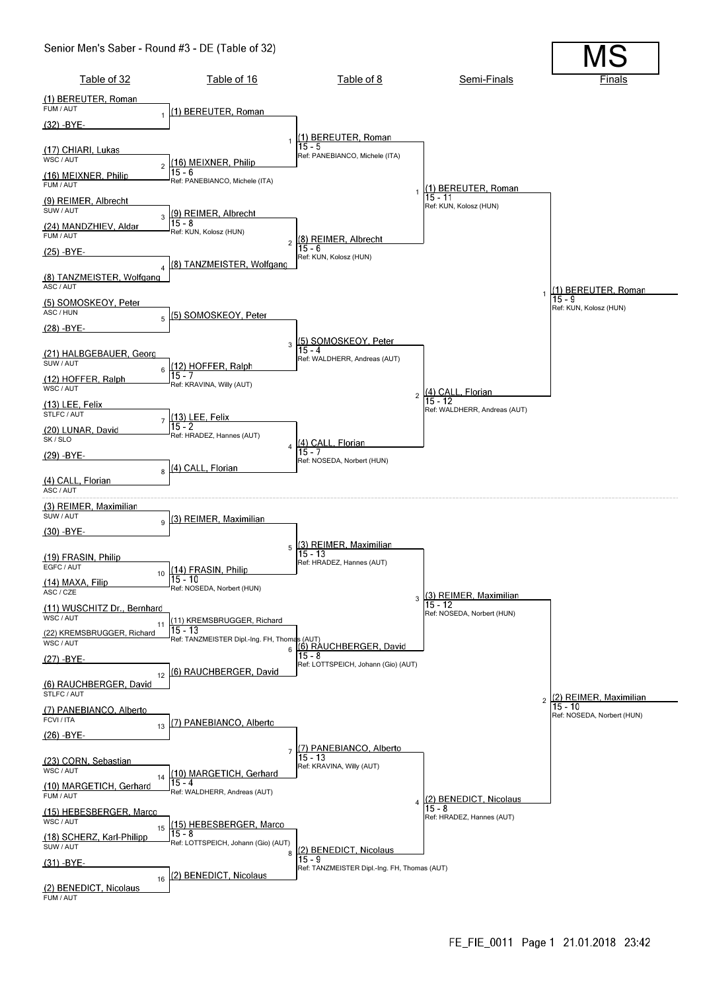#### Senior Men's Saber - Round #3 - DE (Table of 32)

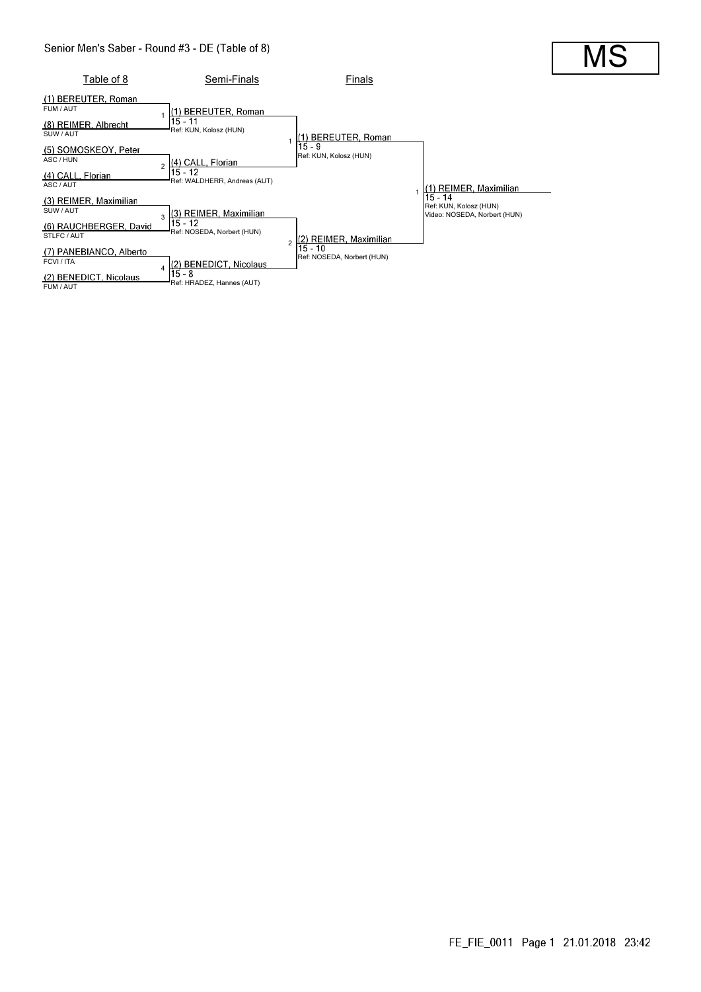

#### FE\_FIE\_0011 Page 1 21.01.2018 23:42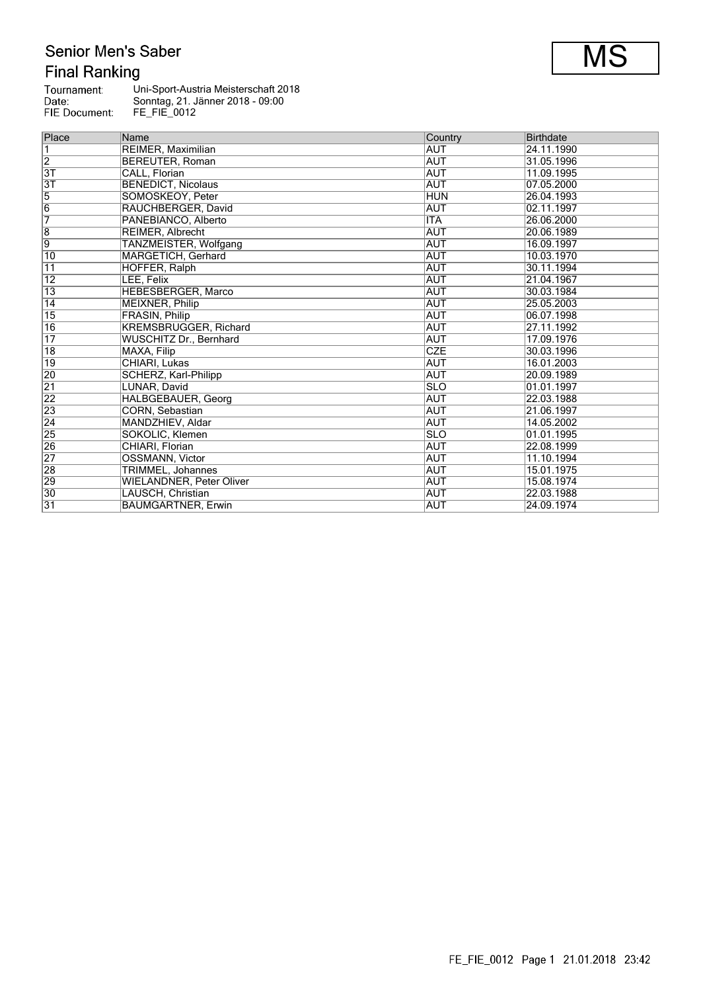# Senior Men's Saber **Final Ranking**

| Tournament:   | Uni-Sport-Austria Meisterschaft 2018 |
|---------------|--------------------------------------|
| Date:         | Sonntag, 21. Jänner 2018 - 09:00     |
| FIE Document: | FE FIE 0012                          |

| Place           | Name                            | Country     | <b>Birthdate</b> |  |
|-----------------|---------------------------------|-------------|------------------|--|
| 1               | REIMER, Maximilian              | <b>AUT</b>  | 24.11.1990       |  |
| $\overline{2}$  | <b>BEREUTER, Roman</b>          | <b>AUT</b>  | 31.05.1996       |  |
| $\overline{3T}$ | CALL, Florian                   | <b>AUT</b>  | 11.09.1995       |  |
| 3T              | <b>BENEDICT, Nicolaus</b>       | <b>AUT</b>  | 07.05.2000       |  |
| $\overline{5}$  | SOMOSKEOY, Peter                | <b>HUN</b>  | 26.04.1993       |  |
| 6               | RAUCHBERGER, David              | AUT         | 02.11.1997       |  |
| $\overline{7}$  | PANEBIANCO, Alberto             | <b>ITA</b>  | 26.06.2000       |  |
| $\overline{8}$  | REIMER, Albrecht                | AUT         | 20.06.1989       |  |
| $\overline{9}$  | TANZMEISTER, Wolfgang           | AUT         | 16.09.1997       |  |
| 10              | MARGETICH, Gerhard              | AUT         | 10.03.1970       |  |
| $\overline{11}$ | HOFFER, Ralph                   | AUT         | 30.11.1994       |  |
| $\overline{12}$ | LEE, Felix                      | AUT         | 21.04.1967       |  |
| $\overline{13}$ | HEBESBERGER, Marco              | AUT         | 30.03.1984       |  |
| $\overline{14}$ | <b>MEIXNER, Philip</b>          | <b>AUT</b>  | 25.05.2003       |  |
| $\overline{15}$ | FRASIN, Philip                  | AUT         | 06.07.1998       |  |
| $\overline{16}$ | <b>KREMSBRUGGER, Richard</b>    | AUT         | 27.11.1992       |  |
| $\overline{17}$ | <b>WUSCHITZ Dr., Bernhard</b>   | AUT         | 17.09.1976       |  |
| $\overline{18}$ | MAXA, Filip                     | <b>CZE</b>  | 30.03.1996       |  |
| 19              | CHIARI, Lukas                   | AUT         | 16.01.2003       |  |
| 20              | SCHERZ, Karl-Philipp            | <b>AUT</b>  | 20.09.1989       |  |
| $\overline{21}$ | LUNAR, David                    | <b>ISLO</b> | 01.01.1997       |  |
| $\overline{22}$ | HALBGEBAUER, Georg              | AUT         | 22.03.1988       |  |
| $\overline{23}$ | CORN, Sebastian                 | AUT         | 21.06.1997       |  |
| $\overline{24}$ | MANDZHIEV, Aldar                | AUT         | 14.05.2002       |  |
| $\overline{25}$ | SOKOLIC, Klemen                 | <b>SLO</b>  | 01.01.1995       |  |
| $\overline{26}$ | CHIARI, Florian                 | AUT         | 22.08.1999       |  |
| $\overline{27}$ | <b>OSSMANN, Victor</b>          | AUT         | 11.10.1994       |  |
| 28              | <b>TRIMMEL, Johannes</b>        | AUT         | 15.01.1975       |  |
| 29              | <b>WIELANDNER, Peter Oliver</b> | AUT         | 15.08.1974       |  |
| $\overline{30}$ | LAUSCH, Christian               | AUT         | 22.03.1988       |  |
| $\overline{31}$ | <b>BAUMGARTNER, Erwin</b>       | <b>AUT</b>  | 24.09.1974       |  |